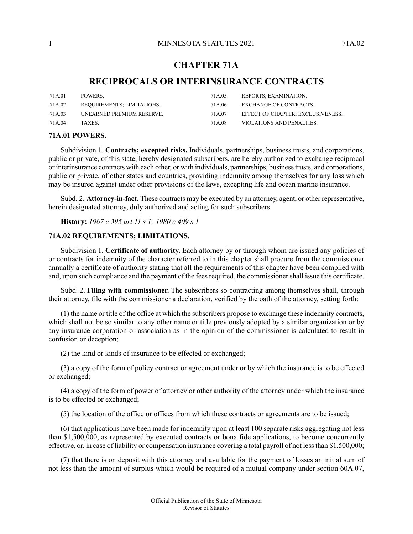# **CHAPTER 71A**

# **RECIPROCALS OR INTERINSURANCE CONTRACTS**

| 71A.01  | POWERS.                    | 71A.05  | REPORTS; EXAMINATION.             |
|---------|----------------------------|---------|-----------------------------------|
| 71A.02  | REOUIREMENTS: LIMITATIONS. | 71 A 06 | EXCHANGE OF CONTRACTS.            |
| 71A.03  | UNEARNED PREMIUM RESERVE.  | 71A.07  | EFFECT OF CHAPTER: EXCLUSIVENESS. |
| 71 A 04 | TAXES.                     | 71 A 08 | VIOLATIONS AND PENALTIES.         |

# <span id="page-0-0"></span>**71A.01 POWERS.**

Subdivision 1. **Contracts; excepted risks.** Individuals, partnerships, business trusts, and corporations, public or private, of this state, hereby designated subscribers, are hereby authorized to exchange reciprocal or interinsurance contracts with each other, or with individuals, partnerships, businesstrusts, and corporations, public or private, of other states and countries, providing indemnity among themselves for any loss which may be insured against under other provisions of the laws, excepting life and ocean marine insurance.

<span id="page-0-1"></span>Subd. 2. **Attorney-in-fact.** These contracts may be executed by an attorney, agent, or other representative, herein designated attorney, duly authorized and acting for such subscribers.

**History:** *1967 c 395 art 11 s 1; 1980 c 409 s 1*

# **71A.02 REQUIREMENTS; LIMITATIONS.**

Subdivision 1. **Certificate of authority.** Each attorney by or through whom are issued any policies of or contracts for indemnity of the character referred to in this chapter shall procure from the commissioner annually a certificate of authority stating that all the requirements of this chapter have been complied with and, upon such compliance and the payment of the fees required, the commissioner shall issue this certificate.

Subd. 2. **Filing with commissioner.** The subscribers so contracting among themselves shall, through their attorney, file with the commissioner a declaration, verified by the oath of the attorney, setting forth:

(1) the name or title of the office at which the subscribers propose to exchange these indemnity contracts, which shall not be so similar to any other name or title previously adopted by a similar organization or by any insurance corporation or association as in the opinion of the commissioner is calculated to result in confusion or deception;

(2) the kind or kinds of insurance to be effected or exchanged;

(3) a copy of the form of policy contract or agreement under or by which the insurance is to be effected or exchanged;

(4) a copy of the form of power of attorney or other authority of the attorney under which the insurance is to be effected or exchanged;

(5) the location of the office or offices from which these contracts or agreements are to be issued;

(6) that applications have been made for indemnity upon at least 100 separate risks aggregating not less than \$1,500,000, as represented by executed contracts or bona fide applications, to become concurrently effective, or, in case of liability or compensation insurance covering a total payroll of not lessthan \$1,500,000;

(7) that there is on deposit with this attorney and available for the payment of losses an initial sum of not less than the amount of surplus which would be required of a mutual company under section 60A.07,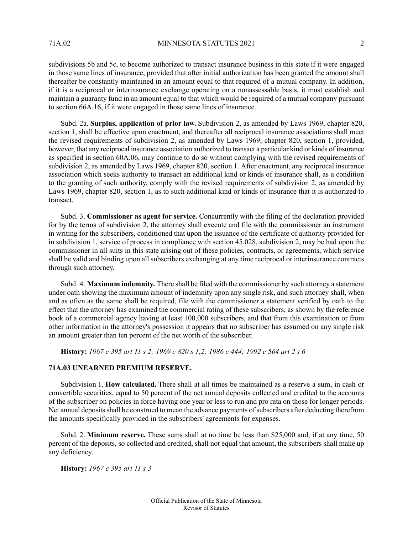subdivisions 5b and 5c, to become authorized to transact insurance business in this state if it were engaged in those same lines of insurance, provided that after initial authorization has been granted the amount shall thereafter be constantly maintained in an amount equal to that required of a mutual company. In addition, if it is a reciprocal or interinsurance exchange operating on a nonassessable basis, it must establish and maintain a guaranty fund in an amount equal to that which would be required of a mutual company pursuant to section 66A.16, if it were engaged in those same lines of insurance.

Subd. 2a. **Surplus, application of prior law.** Subdivision 2, as amended by Laws 1969, chapter 820, section 1, shall be effective upon enactment, and thereafter all reciprocal insurance associations shall meet the revised requirements of subdivision 2, as amended by Laws 1969, chapter 820, section 1, provided, however, that any reciprocal insurance association authorized to transact a particular kind or kinds of insurance as specified in section 60A.06, may continue to do so without complying with the revised requirements of subdivision 2, as amended by Laws 1969, chapter 820, section 1. After enactment, any reciprocal insurance association which seeks authority to transact an additional kind or kinds of insurance shall, as a condition to the granting of such authority, comply with the revised requirements of subdivision 2, as amended by Laws 1969, chapter 820, section 1, as to such additional kind or kinds of insurance that it is authorized to transact.

Subd. 3. **Commissioner as agent for service.** Concurrently with the filing of the declaration provided for by the terms of subdivision 2, the attorney shall execute and file with the commissioner an instrument in writing for the subscribers, conditioned that upon the issuance of the certificate of authority provided for in subdivision 1, service of process in compliance with section 45.028, subdivision 2, may be had upon the commissioner in all suits in this state arising out of these policies, contracts, or agreements, which service shall be valid and binding upon all subscribers exchanging at any time reciprocal or interinsurance contracts through such attorney.

<span id="page-1-0"></span>Subd. 4. **Maximum indemnity.** There shall be filed with the commissioner by such attorney a statement under oath showing the maximum amount of indemnity upon any single risk, and such attorney shall, when and as often as the same shall be required, file with the commissioner a statement verified by oath to the effect that the attorney has examined the commercial rating of these subscribers, as shown by the reference book of a commercial agency having at least 100,000 subscribers, and that from this examination or from other information in the attorney's possession it appears that no subscriber has assumed on any single risk an amount greater than ten percent of the net worth of the subscriber.

History: 1967 c 395 art 11 s 2; 1969 c 820 s 1,2; 1986 c 444; 1992 c 564 art 2 s 6

# **71A.03 UNEARNED PREMIUM RESERVE.**

Subdivision 1. **How calculated.** There shall at all times be maintained as a reserve a sum, in cash or convertible securities, equal to 50 percent of the net annual deposits collected and credited to the accounts of the subscriber on policies in force having one year or less to run and pro rata on those for longer periods. Net annual deposits shall be construed to mean the advance payments of subscribers after deducting therefrom the amounts specifically provided in the subscribers' agreements for expenses.

<span id="page-1-1"></span>Subd. 2. **Minimum reserve.** These sums shall at no time be less than \$25,000 and, if at any time, 50 percent of the deposits, so collected and credited, shall not equal that amount, the subscribers shall make up any deficiency.

**History:** *1967 c 395 art 11 s 3*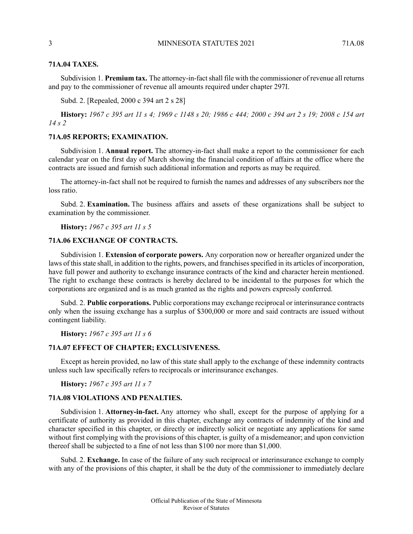#### 3 MINNESOTA STATUTES 2021 71A 08

# **71A.04 TAXES.**

Subdivision 1. **Premium tax.** The attorney-in-factshall file with the commissioner of revenue all returns and pay to the commissioner of revenue all amounts required under chapter 297I.

Subd. 2. [Repealed, 2000 c 394 art 2 s 28]

<span id="page-2-0"></span>History: 1967 c 395 art 11 s 4; 1969 c 1148 s 20; 1986 c 444; 2000 c 394 art 2 s 19; 2008 c 154 art *14 s 2*

# **71A.05 REPORTS; EXAMINATION.**

Subdivision 1. **Annual report.** The attorney-in-fact shall make a report to the commissioner for each calendar year on the first day of March showing the financial condition of affairs at the office where the contracts are issued and furnish such additional information and reports as may be required.

The attorney-in-fact shall not be required to furnish the names and addresses of any subscribers nor the loss ratio.

<span id="page-2-1"></span>Subd. 2. **Examination.** The business affairs and assets of these organizations shall be subject to examination by the commissioner.

**History:** *1967 c 395 art 11 s 5*

# **71A.06 EXCHANGE OF CONTRACTS.**

Subdivision 1. **Extension of corporate powers.** Any corporation now or hereafter organized under the laws of this state shall, in addition to the rights, powers, and franchises specified in its articles of incorporation, have full power and authority to exchange insurance contracts of the kind and character herein mentioned. The right to exchange these contracts is hereby declared to be incidental to the purposes for which the corporations are organized and is as much granted as the rights and powers expressly conferred.

<span id="page-2-2"></span>Subd. 2. **Public corporations.** Public corporations may exchange reciprocal or interinsurance contracts only when the issuing exchange has a surplus of \$300,000 or more and said contracts are issued without contingent liability.

**History:** *1967 c 395 art 11 s 6*

### <span id="page-2-3"></span>**71A.07 EFFECT OF CHAPTER; EXCLUSIVENESS.**

Except as herein provided, no law of this state shall apply to the exchange of these indemnity contracts unless such law specifically refers to reciprocals or interinsurance exchanges.

**History:** *1967 c 395 art 11 s 7*

# **71A.08 VIOLATIONS AND PENALTIES.**

Subdivision 1. **Attorney-in-fact.** Any attorney who shall, except for the purpose of applying for a certificate of authority as provided in this chapter, exchange any contracts of indemnity of the kind and character specified in this chapter, or directly or indirectly solicit or negotiate any applications for same without first complying with the provisions of this chapter, is guilty of a misdemeanor; and upon conviction thereof shall be subjected to a fine of not less than \$100 nor more than \$1,000.

Subd. 2. **Exchange.** In case of the failure of any such reciprocal or interinsurance exchange to comply with any of the provisions of this chapter, it shall be the duty of the commissioner to immediately declare